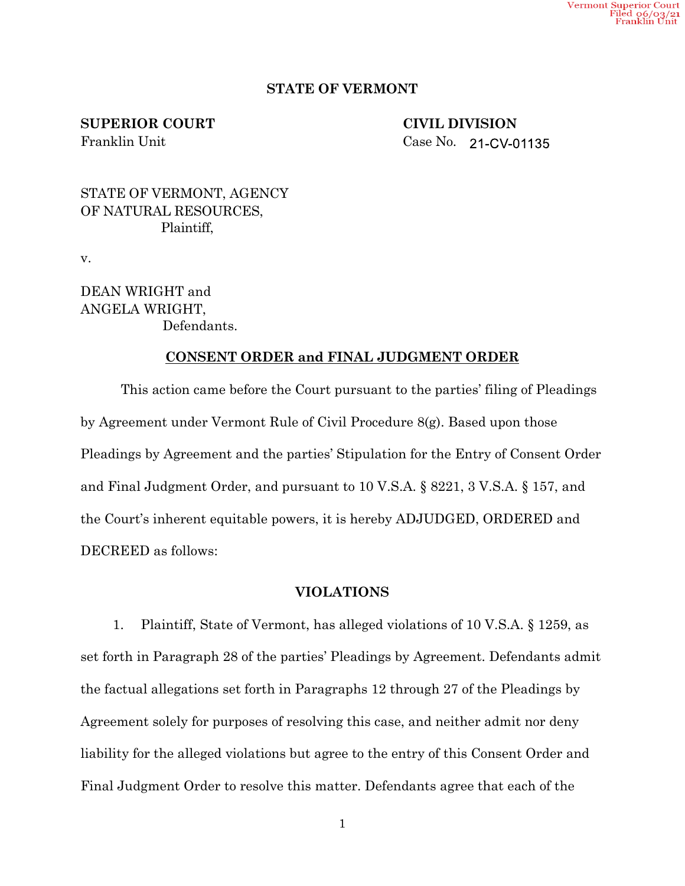# **STATE OF VERMONT**

**SUPERIOR COURT CIVIL DIVISION**

Franklin Unit Case No. 21-CV-01135

STATE OF VERMONT, AGENCY OF NATURAL RESOURCES, Plaintiff,

v.

DEAN WRIGHT and ANGELA WRIGHT, Defendants.

## **CONSENT ORDER and FINAL JUDGMENT ORDER**

This action came before the Court pursuant to the parties' filing of Pleadings by Agreement under Vermont Rule of Civil Procedure 8(g). Based upon those Pleadings by Agreement and the parties' Stipulation for the Entry of Consent Order and Final Judgment Order, and pursuant to 10 V.S.A. § 8221, 3 V.S.A. § 157, and the Court's inherent equitable powers, it is hereby ADJUDGED, ORDERED and DECREED as follows:

## **VIOLATIONS**

1. Plaintiff, State of Vermont, has alleged violations of 10 V.S.A. § 1259, as set forth in Paragraph 28 of the parties' Pleadings by Agreement. Defendants admit the factual allegations set forth in Paragraphs 12 through 27 of the Pleadings by Agreement solely for purposes of resolving this case, and neither admit nor deny liability for the alleged violations but agree to the entry of this Consent Order and Final Judgment Order to resolve this matter. Defendants agree that each of the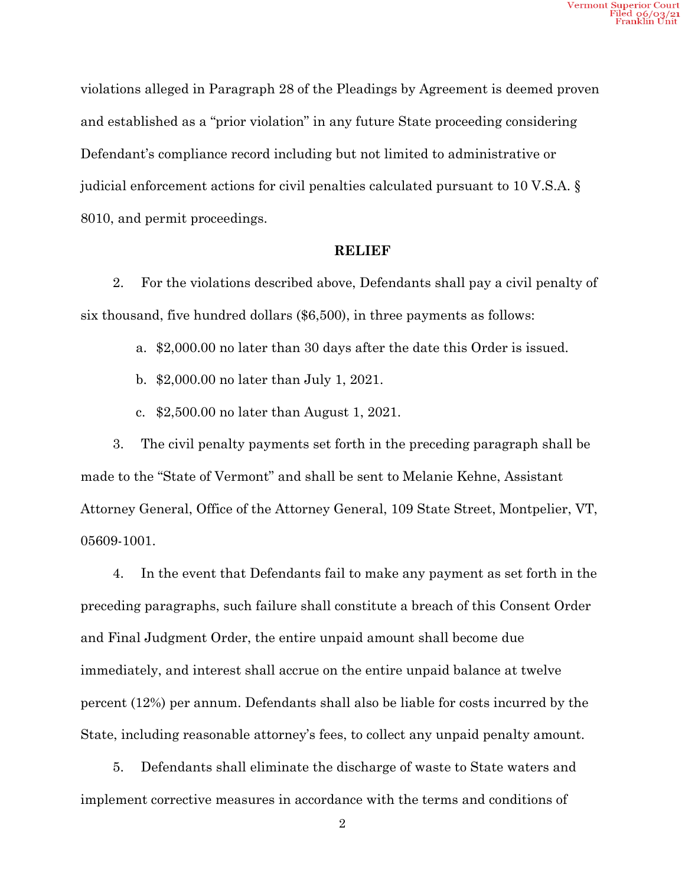violations alleged in Paragraph 28 of the Pleadings by Agreement is deemed proven and established as a "prior violation" in any future State proceeding considering Defendant's compliance record including but not limited to administrative or judicial enforcement actions for civil penalties calculated pursuant to 10 V.S.A. § 8010, and permit proceedings.

#### **RELIEF**

2. For the violations described above, Defendants shall pay a civil penalty of six thousand, five hundred dollars (\$6,500), in three payments as follows:

a. \$2,000.00 no later than 30 days after the date this Order is issued.

b. \$2,000.00 no later than July 1, 2021.

c. \$2,500.00 no later than August 1, 2021.

3. The civil penalty payments set forth in the preceding paragraph shall be made to the "State of Vermont" and shall be sent to Melanie Kehne, Assistant Attorney General, Office of the Attorney General, 109 State Street, Montpelier, VT, 05609-1001.

4. In the event that Defendants fail to make any payment as set forth in the preceding paragraphs, such failure shall constitute a breach of this Consent Order and Final Judgment Order, the entire unpaid amount shall become due immediately, and interest shall accrue on the entire unpaid balance at twelve percent (12%) per annum. Defendants shall also be liable for costs incurred by the State, including reasonable attorney's fees, to collect any unpaid penalty amount.

5. Defendants shall eliminate the discharge of waste to State waters and implement corrective measures in accordance with the terms and conditions of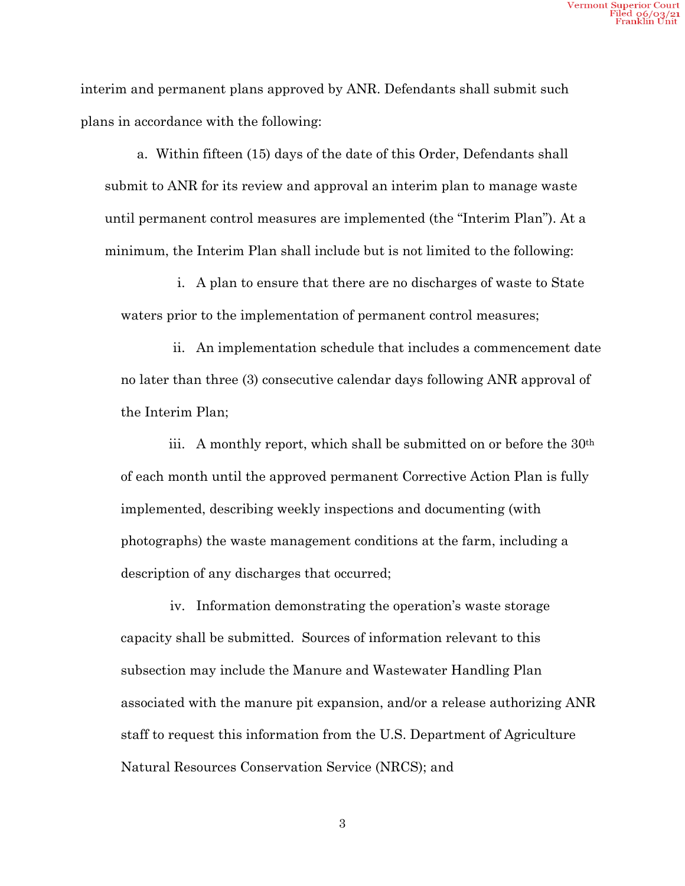interim and permanent plans approved by ANR. Defendants shall submit such plans in accordance with the following:

a. Within fifteen (15) days of the date of this Order, Defendants shall submit to ANR for its review and approval an interim plan to manage waste until permanent control measures are implemented (the "Interim Plan"). At a minimum, the Interim Plan shall include but is not limited to the following:

i. A plan to ensure that there are no discharges of waste to State waters prior to the implementation of permanent control measures;

ii. An implementation schedule that includes a commencement date no later than three (3) consecutive calendar days following ANR approval of the Interim Plan;

iii. A monthly report, which shall be submitted on or before the 30th of each month until the approved permanent Corrective Action Plan is fully implemented, describing weekly inspections and documenting (with photographs) the waste management conditions at the farm, including a description of any discharges that occurred;

iv. Information demonstrating the operation's waste storage capacity shall be submitted. Sources of information relevant to this subsection may include the Manure and Wastewater Handling Plan associated with the manure pit expansion, and/or a release authorizing ANR staff to request this information from the U.S. Department of Agriculture Natural Resources Conservation Service (NRCS); and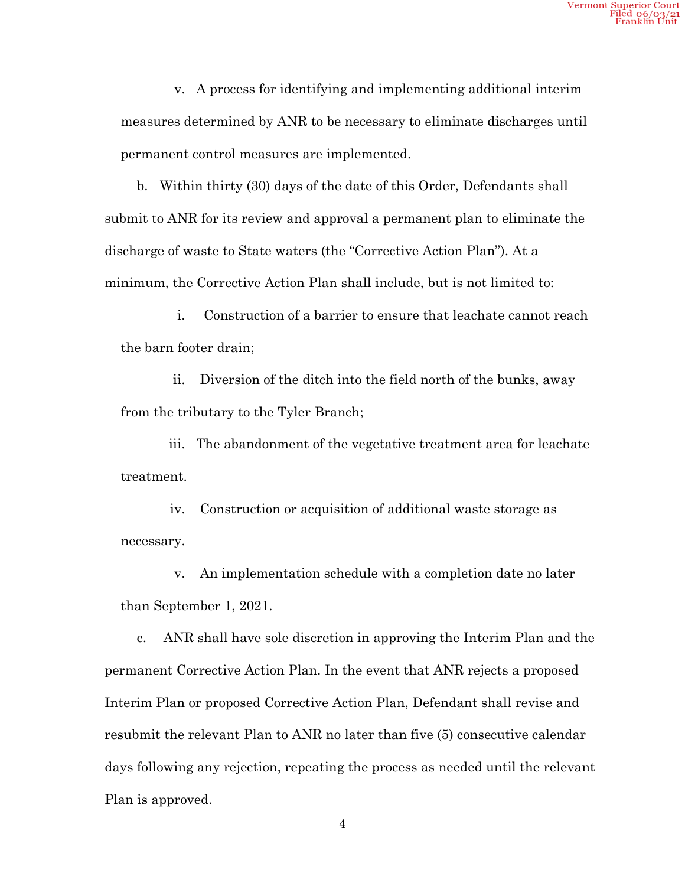v. A process for identifying and implementing additional interim measures determined by ANR to be necessary to eliminate discharges until permanent control measures are implemented.

b. Within thirty (30) days of the date of this Order, Defendants shall submit to ANR for its review and approval a permanent plan to eliminate the discharge of waste to State waters (the "Corrective Action Plan"). At a minimum, the Corrective Action Plan shall include, but is not limited to:

i. Construction of a barrier to ensure that leachate cannot reach the barn footer drain;

ii. Diversion of the ditch into the field north of the bunks, away from the tributary to the Tyler Branch;

iii. The abandonment of the vegetative treatment area for leachate treatment.

iv. Construction or acquisition of additional waste storage as necessary.

v. An implementation schedule with a completion date no later than September 1, 2021.

c. ANR shall have sole discretion in approving the Interim Plan and the permanent Corrective Action Plan. In the event that ANR rejects a proposed Interim Plan or proposed Corrective Action Plan, Defendant shall revise and resubmit the relevant Plan to ANR no later than five (5) consecutive calendar days following any rejection, repeating the process as needed until the relevant Plan is approved.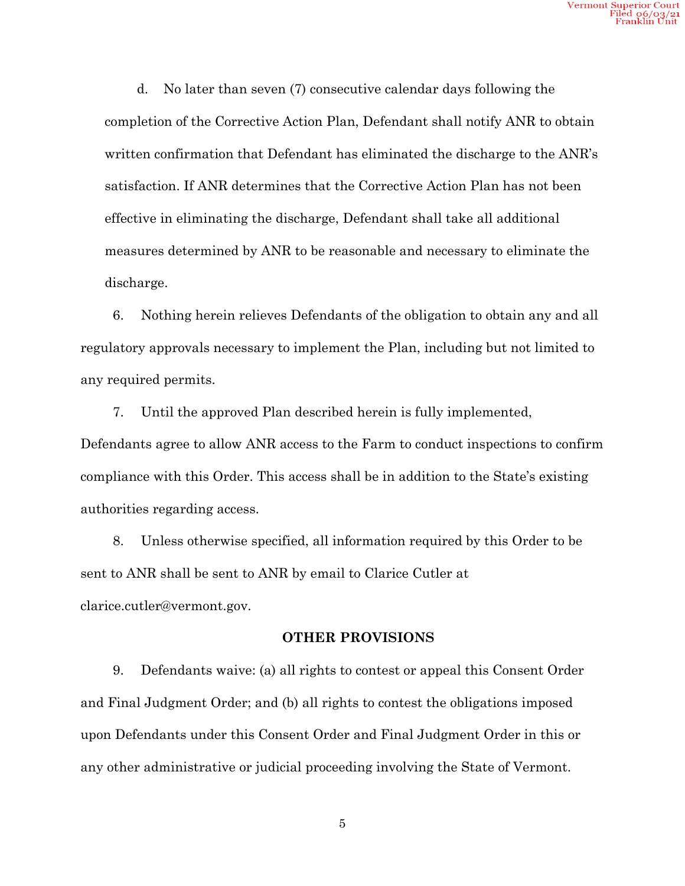d. No later than seven (7) consecutive calendar days following the completion of the Corrective Action Plan, Defendant shall notify ANR to obtain written confirmation that Defendant has eliminated the discharge to the ANR's satisfaction. If ANR determines that the Corrective Action Plan has not been effective in eliminating the discharge, Defendant shall take all additional measures determined by ANR to be reasonable and necessary to eliminate the discharge.

6. Nothing herein relieves Defendants of the obligation to obtain any and all regulatory approvals necessary to implement the Plan, including but not limited to any required permits.

7. Until the approved Plan described herein is fully implemented, Defendants agree to allow ANR access to the Farm to conduct inspections to confirm compliance with this Order. This access shall be in addition to the State's existing authorities regarding access.

8. Unless otherwise specified, all information required by this Order to be sent to ANR shall be sent to ANR by email to Clarice Cutler at clarice.cutler@vermont.gov.

### **OTHER PROVISIONS**

9. Defendants waive: (a) all rights to contest or appeal this Consent Order and Final Judgment Order; and (b) all rights to contest the obligations imposed upon Defendants under this Consent Order and Final Judgment Order in this or any other administrative or judicial proceeding involving the State of Vermont.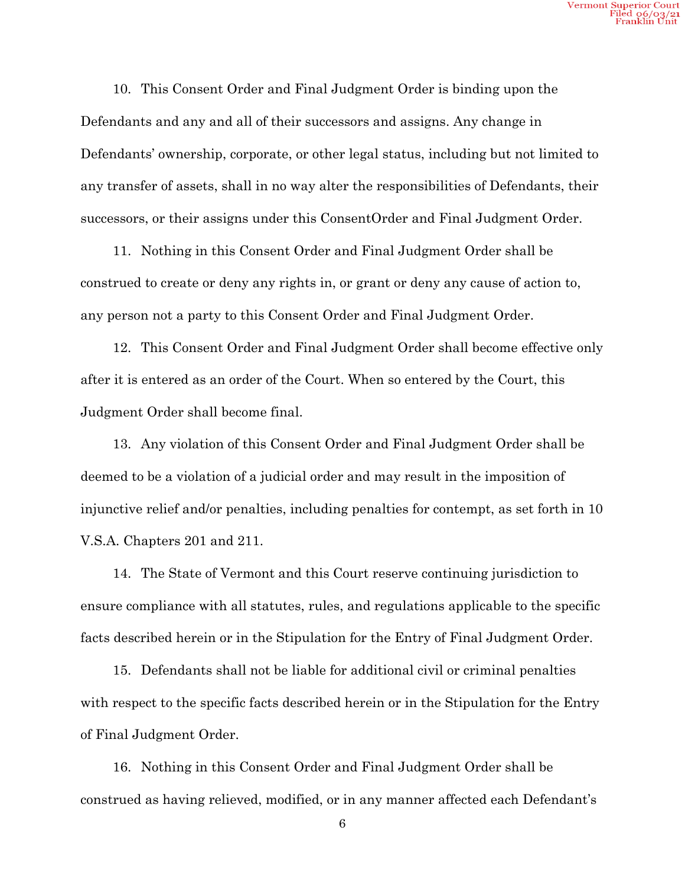10. This Consent Order and Final Judgment Order is binding upon the Defendants and any and all of their successors and assigns. Any change in Defendants' ownership, corporate, or other legal status, including but not limited to any transfer of assets, shall in no way alter the responsibilities of Defendants, their successors, or their assigns under this ConsentOrder and Final Judgment Order.

11. Nothing in this Consent Order and Final Judgment Order shall be construed to create or deny any rights in, or grant or deny any cause of action to, any person not a party to this Consent Order and Final Judgment Order.

12. This Consent Order and Final Judgment Order shall become effective only after it is entered as an order of the Court. When so entered by the Court, this Judgment Order shall become final.

13. Any violation of this Consent Order and Final Judgment Order shall be deemed to be a violation of a judicial order and may result in the imposition of injunctive relief and/or penalties, including penalties for contempt, as set forth in 10 V.S.A. Chapters 201 and 211.

14. The State of Vermont and this Court reserve continuing jurisdiction to ensure compliance with all statutes, rules, and regulations applicable to the specific facts described herein or in the Stipulation for the Entry of Final Judgment Order.

15. Defendants shall not be liable for additional civil or criminal penalties with respect to the specific facts described herein or in the Stipulation for the Entry of Final Judgment Order.

16. Nothing in this Consent Order and Final Judgment Order shall be construed as having relieved, modified, or in any manner affected each Defendant's